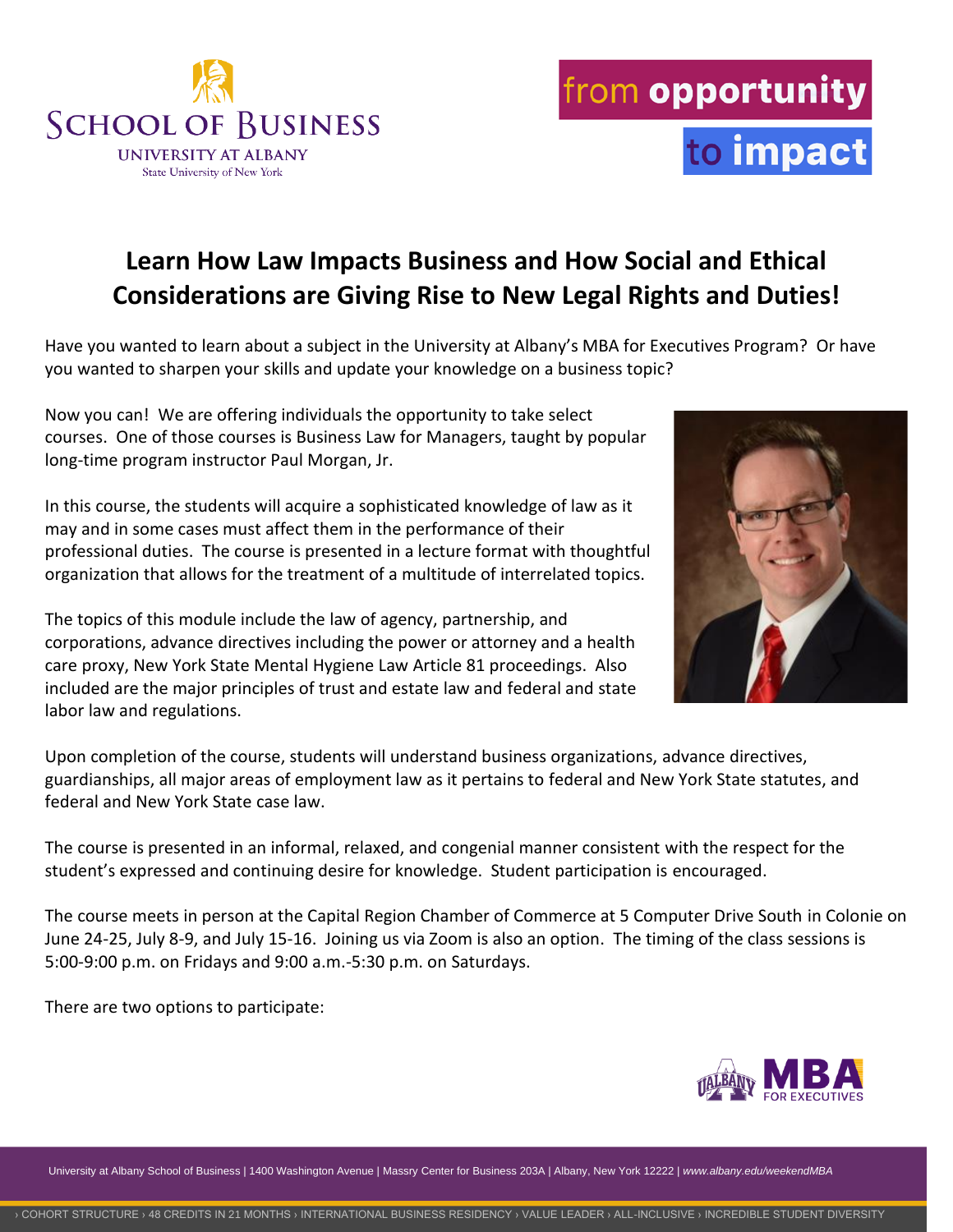University at Albany School of Business | 1400 Washington Avenue | Massry Center for Business 203A | Albany, New York 12222 | *www.albany.edu/weekendMBA*

## **Learn How Law Impacts Business and How Social and Ethical Considerations are Giving Rise to New Legal Rights and Duties!**

Have you wanted to learn about a subject in the University at Albany's MBA for Executives Program? Or have you wanted to sharpen your skills and update your knowledge on a business topic?

Now you can! We are offering individuals the opportunity to take select courses. One of those courses is Business Law for Managers, taught by popular long-time program instructor Paul Morgan, Jr.

In this course, the students will acquire a sophisticated knowledge of law as it may and in some cases must affect them in the performance of their professional duties. The course is presented in a lecture format with thoughtful organization that allows for the treatment of a multitude of interrelated topics.

The topics of this module include the law of agency, partnership, and corporations, advance directives including the power or attorney and a health care proxy, New York State Mental Hygiene Law Article 81 proceedings. Also included are the major principles of trust and estate law and federal and state labor law and regulations.

Upon completion of the course, students will understand business organizations, advance directives, guardianships, all major areas of employment law as it pertains to federal and New York State statutes, and federal and New York State case law.

The course is presented in an informal, relaxed, and congenial manner consistent with the respect for the student's expressed and continuing desire for knowledge. Student participation is encouraged.

The course meets in person at the Capital Region Chamber of Commerce at 5 Computer Drive South in Colonie on June 24-25, July 8-9, and July 15-16. Joining us via Zoom is also an option. The timing of the class sessions is 5:00-9:00 p.m. on Fridays and 9:00 a.m.-5:30 p.m. on Saturdays.

There are two options to participate:









to impact

from opportunity